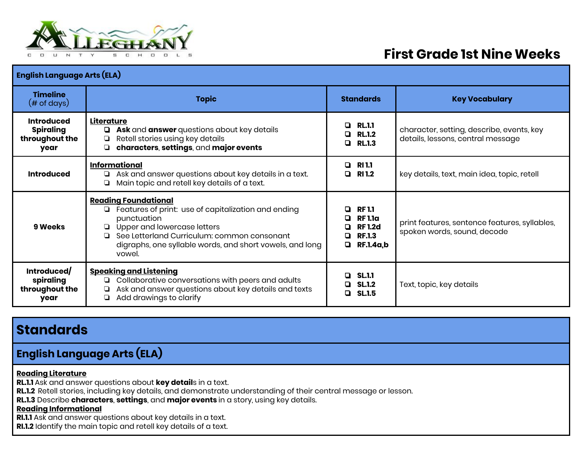

# **First Grade 1st Nine Weeks**

| <b>English Language Arts (ELA)</b>                              |                                                                                                                                                                                                                                                            |                                                                                                   |                                                                                |
|-----------------------------------------------------------------|------------------------------------------------------------------------------------------------------------------------------------------------------------------------------------------------------------------------------------------------------------|---------------------------------------------------------------------------------------------------|--------------------------------------------------------------------------------|
| <b>Timeline</b><br>$(\# \text{ of days})$                       | <b>Topic</b>                                                                                                                                                                                                                                               | <b>Standards</b>                                                                                  | <b>Key Vocabulary</b>                                                          |
| <b>Introduced</b><br><b>Spiraling</b><br>throughout the<br>year | Literature<br>Ask and answer questions about key details<br>Retell stories using key details<br>❏<br>characters, settings, and major events<br>❏                                                                                                           | <b>RL.1.1</b><br>D.<br><b>RL.1.2</b><br>0<br><b>RL.1.3</b><br>0                                   | character, setting, describe, events, key<br>details, lessons, central message |
| <b>Introduced</b>                                               | <b>Informational</b><br>Ask and answer questions about key details in a text.<br>❏<br>Main topic and retell key details of a text.<br>❏                                                                                                                    | RI 1.1<br>0<br><b>RI 1.2</b><br>0                                                                 | key details, text, main idea, topic, retell                                    |
| 9 Weeks                                                         | <b>Reading Foundational</b><br>Features of print: use of capitalization and ending<br>❏<br>punctuation<br>Upper and lowercase letters<br>See Letterland Curriculum: common consonant<br>digraphs, one syllable words, and short vowels, and long<br>vowel. | <b>RF 1.1</b><br>п<br><b>RF1.1a</b><br>□<br><b>RF1.2d</b><br>□<br><b>RF.1.3</b><br>O<br>RF.1.4a,b | print features, sentence features, syllables,<br>spoken words, sound, decode   |
| Introduced/<br>spiraling<br>throughout the<br>year              | <b>Speaking and Listening</b><br>Collaborative conversations with peers and adults<br>❏<br>Ask and answer questions about key details and texts<br>❏<br>Add drawings to clarify<br>❏                                                                       | <b>SL.1.1</b><br>n.<br>$Q$ SL.1.2<br>SL.1.5<br>$\Box$                                             | Text, topic, key details                                                       |

## **Standards**

**English Language Arts (ELA)**

#### **Reading Literature**

**RL.1.1** Ask and answer questions about **key detail**s in a text.

**RL.1.2** Retell stories, including key details, and demonstrate understanding of their central message or lesson.

**RL.1.3** Describe **characters**, **settings**, and **major events** in a story, using key details.

#### **Reading Informational**

**RI.1.1** Ask and answer questions about key details in a text.

**RI.1.2** Identify the main topic and retell key details of a text.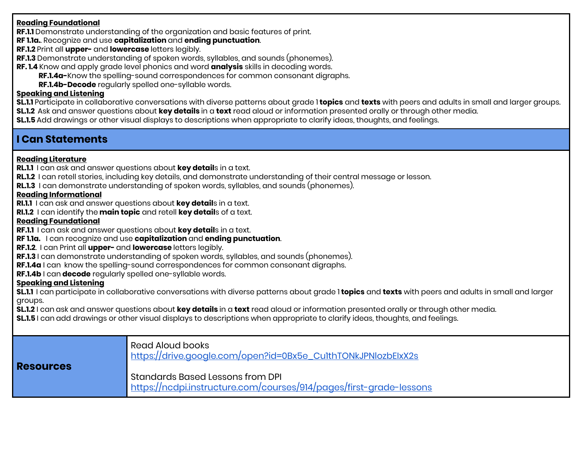#### **Reading Foundational**

**RF.1.1** Demonstrate understanding of the organization and basic features of print.

**RF 1.1a.**. Recognize and use **capitalization** and **ending punctuation**.

- **RF.1.2** Print all **upper-** and **lowercase** letters legibly.
- **RF.1.3** Demonstrate understanding of spoken words, syllables, and sounds (phonemes).
- **RF. 1.4** Know and apply grade level phonics and word **analysis** skills in decoding words.
	- **RF.1.4a-**Know the spelling-sound correspondences for common consonant digraphs.
	- **RF.1.4b-Decode** regularly spelled one-syllable words.

#### **Speaking and Listening**

**SL.1.1** Participate in collaborative conversations with diverse patterns about grade 1 **topics** and **texts** with peers and adults in small and larger groups. **SL.1.2** Ask and answer questions about **key details** in a **text** read aloud or information presented orally or through other media.

**SL.1.5** Add drawings or other visual displays to descriptions when appropriate to clarify ideas, thoughts, and feelings.

### **I Can Statements**

### **Reading Literature**

**RL.1.1** I can ask and answer questions about **key detail**s in a text.

- **RL.1.2** I can retell stories, including key details, and demonstrate understanding of their central message or lesson.
- **RL.1.3** I can demonstrate understanding of spoken words, syllables, and sounds (phonemes).

#### **Reading Informational**

**RI.1.1** I can ask and answer questions about **key detail**s in a text.

**RI.1.2** I can identify the **main topic** and retell **key detail**s of a text.

#### **Reading Foundational**

**RF.1.1** I can ask and answer questions about **key detail**s in a text.

- **RF 1.1a.** I can recognize and use **capitalization** and **ending punctuation**.
- **RF.1.2**. I can Print all **upper-** and **lowercase** letters legibly.
- **RF.1.3** I can demonstrate understanding of spoken words, syllables, and sounds (phonemes).
- **RF.1.4a** I can know the spelling-sound correspondences for common consonant digraphs.

**RF.1.4b** I can **decode** regularly spelled one-syllable words.

### **Speaking and Listening**

**SL.1.1** I can participate in collaborative conversations with diverse patterns about grade 1 **topics** and **texts** with peers and adults in small and larger groups.

**SL.1.2** I can ask and answer questions about **key details** in a **text** read aloud or information presented orally or through other media.

**SL.1.5** I can add drawings or other visual displays to descriptions when appropriate to clarify ideas, thoughts, and feelings.

| <b>Resources</b> | Read Aloud books<br>https://drive.google.com/open?id=0Bx5e_CulthTONkJPNlozbElxX2s                       |
|------------------|---------------------------------------------------------------------------------------------------------|
|                  | Standards Based Lessons from DPI<br>https://ncdpi.instructure.com/courses/914/pages/first-grade-lessons |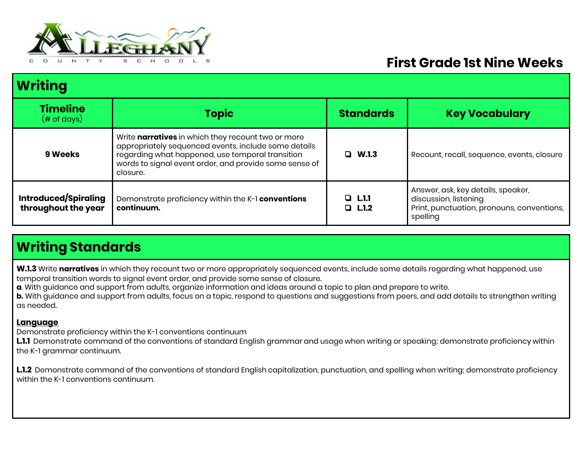

# **First Grade 1st Nine Weeks**

| <b>Writing</b>                                     |                                                                                                                                                                                                                                      |                             |                                                                                                                       |
|----------------------------------------------------|--------------------------------------------------------------------------------------------------------------------------------------------------------------------------------------------------------------------------------------|-----------------------------|-----------------------------------------------------------------------------------------------------------------------|
| <b>Timeline</b><br>$(\# \text{ of days})$          | <b>Topic</b>                                                                                                                                                                                                                         | <b>Standards</b>            | <b>Key Vocabulary</b>                                                                                                 |
| 9 Weeks                                            | Write narratives in which they recount two or more<br>appropriately sequenced events, include some details<br>regarding what happened, use temporal transition<br>words to signal event order, and provide some sense of<br>closure. | $\Box$ W.1.3                | Recount, recall, sequence, events, closure                                                                            |
| <b>Introduced/Spiraling</b><br>throughout the year | Demonstrate proficiency within the K-1 conventions<br>continuum.                                                                                                                                                                     | $Q_{\rm L1.1}$<br>$Q$ L.1.2 | Answer, ask, key details, speaker,<br>discussion, listening<br>Print, punctuation, pronouns, conventions,<br>spelling |

# **Writing Standards**

**W.1.3** Write **narratives** in which they recount two or more appropriately sequenced events, include some details regarding what happened, use temporal transition words to signal event order, and provide some sense of closure.

**a**. With guidance and support from adults, organize information and ideas around a topic to plan and prepare to write.

**b.** With guidance and support from adults, focus on a topic, respond to questions and suggestions from peers, and add details to strengthen writing as needed.

### **Language**

Demonstrate proficiency within the K-1 conventions continuum

**L.1.1** Demonstrate command of the conventions of standard English grammar and usage when writing or speaking; demonstrate proficiency within the K-1 grammar continuum.

**L.1.2** Demonstrate command of the conventions of standard English capitalization, punctuation, and spelling when writing; demonstrate proficiency within the K-1 conventions continuum.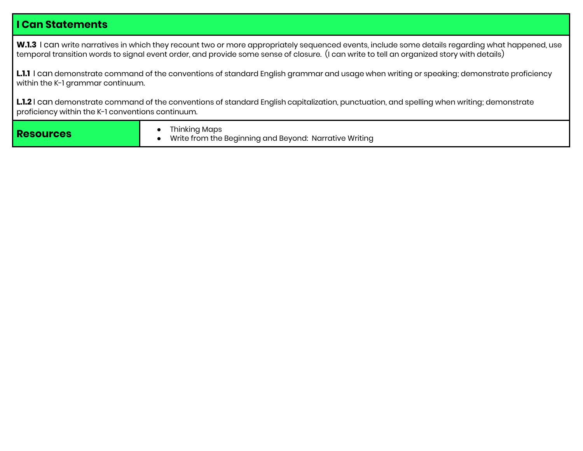### **I Can Statements**

**W.1.3** I can write narratives in which they recount two or more appropriately sequenced events, include some details regarding what happened, use temporal transition words to signal event order, and provide some sense of closure. (I can write to tell an organized story with details)

L.1.1 I can demonstrate command of the conventions of standard English grammar and usage when writing or speaking; demonstrate proficiency within the K-1 grammar continuum.

**L.1.2** I can demonstrate command of the conventions of standard English capitalization, punctuation, and spelling when writing; demonstrate proficiency within the K-1 conventions continuum.

| <b>Resources</b> | Thinking Maps<br>Write from the Beginning and Beyond: Narrative Writing |
|------------------|-------------------------------------------------------------------------|
|------------------|-------------------------------------------------------------------------|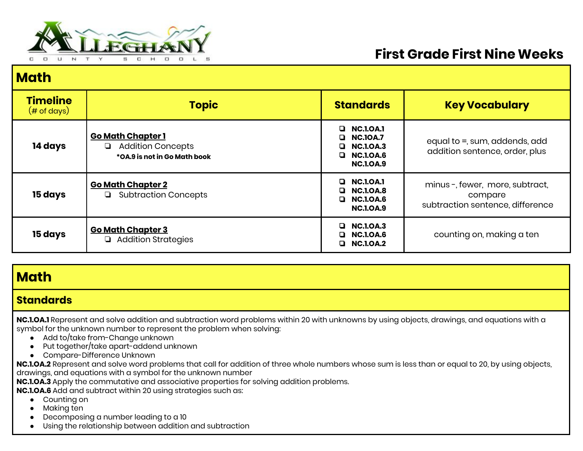

# **First Grade First Nine Weeks**

## **Math**

| <b>Timeline</b><br>$(\# \text{ of days})$ | <b>Topic</b>                                                                         | <b>Standards</b>                                                                                | <b>Key Vocabulary</b>                                                         |
|-------------------------------------------|--------------------------------------------------------------------------------------|-------------------------------------------------------------------------------------------------|-------------------------------------------------------------------------------|
| 14 days                                   | <b>Go Math Chapter 1</b><br><b>Addition Concepts</b><br>*OA.9 is not in Go Math book | $\Box$ NC.1.0A.1<br><b>NC.10A.7</b><br><b>NC.1.0A.3</b><br>$\Box$ NC.1.0A.6<br><b>NC.1.0A.9</b> | equal to =, sum, addends, add<br>addition sentence, order, plus               |
| 15 days                                   | <b>Go Math Chapter 2</b><br><b>Subtraction Concepts</b>                              | <b>NC.1.0A.1</b><br>$\Box$ NC.1.0A.8<br>$\Box$ NC.1.0A.6<br><b>NC.I.OA.9</b>                    | minus-, fewer, more, subtract,<br>compare<br>subtraction sentence, difference |
| 15 days                                   | <b>Go Math Chapter 3</b><br>Addition Strategies                                      | <b>NC.1.0A.3</b><br><b>NC.1.0A.6</b><br><b>NC.1.0A.2</b>                                        | counting on, making a ten                                                     |

### **Math**

### **Standards**

**NC.1.OA.1** Represent and solve addition and subtraction word problems within 20 with unknowns by using objects, drawings, and equations with a symbol for the unknown number to represent the problem when solving:

- Add to/take from-Change unknown
- Put together/take apart-addend unknown
- Compare-Difference Unknown

**NC.1.OA.2** Represent and solve word problems that call for addition of three whole numbers whose sum is less than or equal to 20, by using objects, drawings, and equations with a symbol for the unknown number

**NC.1.OA.3** Apply the commutative and associative properties for solving addition problems.

**NC.1.OA.6** Add and subtract within 20 using strategies such as:

- Counting on
- Making ten
- Decomposing a number leading to a 10
- Using the relationship between addition and subtraction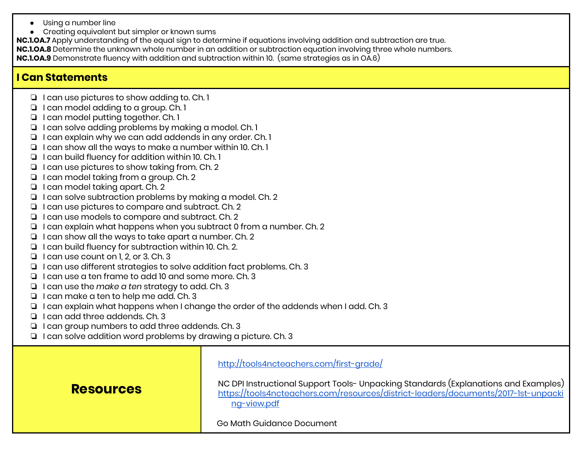- Using a number line
- Creating equivalent but simpler or known sums

**NC.1.OA.7** Apply understanding of the equal sign to determine if equations involving addition and subtraction are true. **NC.1.OA.8** Determine the unknown whole number in an addition or subtraction equation involving three whole numbers. **NC.1.OA.9** Demonstrate fluency with addition and subtraction within 10. (same strategies as in OA.6)

### **I Can Statements**

- ❏ I can use pictures to show adding to. Ch. 1
- ❏ I can model adding to a group. Ch. 1
- ❏ I can model putting together. Ch. 1
- ❏ I can solve adding problems by making a model. Ch. 1
- ❏ I can explain why we can add addends in any order. Ch. 1
- ❏ I can show all the ways to make a number within 10. Ch. 1
- ❏ I can build fluency for addition within 10. Ch. 1
- ❏ I can use pictures to show taking from. Ch. 2
- ❏ I can model taking from a group. Ch. 2
- ❏ I can model taking apart. Ch. 2
- ❏ I can solve subtraction problems by making a model. Ch. 2
- ❏ I can use pictures to compare and subtract. Ch. 2
- ❏ I can use models to compare and subtract. Ch. 2
- ❏ I can explain what happens when you subtract 0 from a number. Ch. 2
- ❏ I can show all the ways to take apart a number. Ch. 2
- ❏ I can build fluency for subtraction within 10. Ch. 2.
- ❏ I can use count on 1, 2, or 3. Ch. 3
- ❏ I can use different strategies to solve addition fact problems. Ch. 3
- ❏ I can use a ten frame to add 10 and some more. Ch. 3
- ❏ I can use the *make a ten* strategy to add. Ch. 3
- ❏ I can make a ten to help me add. Ch. 3
- ❏ I can explain what happens when I change the order of the addends when I add. Ch. 3
- ❏ I can add three addends. Ch. 3

**Resources**

- ❏ I can group numbers to add three addends. Ch. 3
- ❏ I can solve addition word problems by drawing a picture. Ch. 3

<http://tools4ncteachers.com/first-grade/>

### NC DPI Instructional Support Tools- Unpacking Standards (Explanations and Examples) [https://tools4ncteachers.com/resources/district-leaders/documents/2017-1st-unpacki](https://tools4ncteachers.com/resources/district-leaders/documents/2017-1st-unpacking-view.pdf) [ng-view.pdf](https://tools4ncteachers.com/resources/district-leaders/documents/2017-1st-unpacking-view.pdf)

Go Math Guidance Document